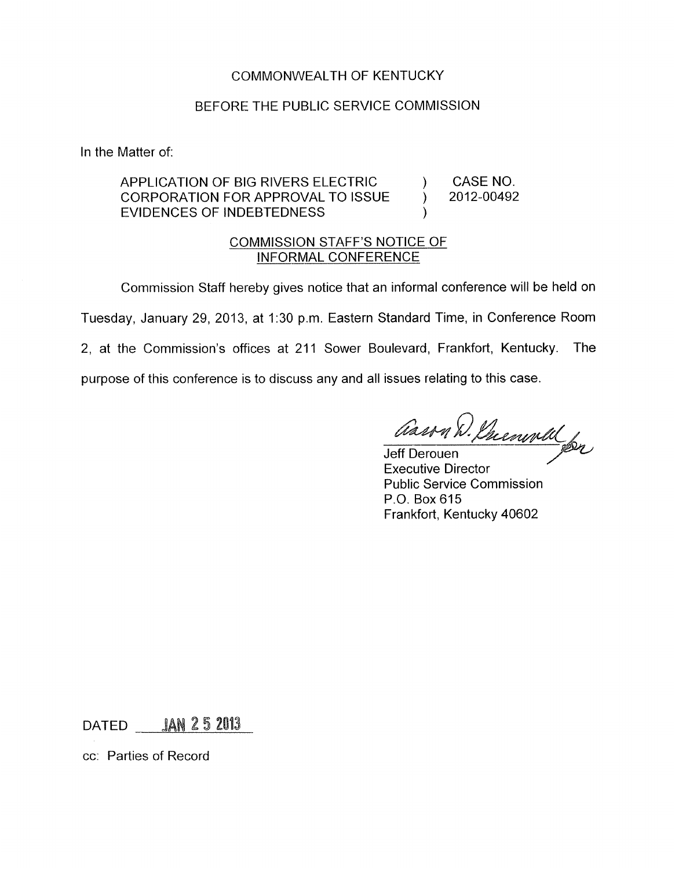## COMMONWEALTH OF KENTUCKY

## BEFORE THE PUBLIC SERVICE COMMISSION

In the Matter of:

APPLICATION OF BIG RIVERS ELECTRIC (APPLICATION FOR APPROVAL TO ISSUE (Applicance ) and 2012-00492 EVIDENCES OF INDEBTEDNESS CORPORATION FOR APPROVAL TO ISSUE  $\qquad$ 

## COMMISSION STAFF'S NOTICE OF INFORMAL CONFERENCE

Commission Staff hereby gives notice that an informal conference will be held on Tuesday, January 29, 2013, at 1:30 p.m. Eastern Standard Time, in Conference Room 2, at the Commission's offices at 211 Sower Boulevard, Frankfort, Kentucky. The purpose of this conference is to discuss any and all issues relating to this case.

 $\lambda$ 

Jeff Derouen Executive Director Public Service Commission P.O. Box 615 Frankfort, Kentucky 40602

 $DATA = 1$   $AN$   $25$   $2013$ 

cc: Parties of Record